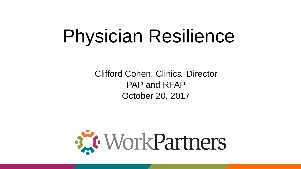# Physician Resilience

Clifford Cohen, Clinical Director PAP and RFAP October 20, 2017

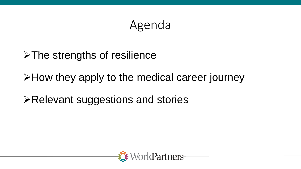## Agenda

### >The strengths of resilience

>How they apply to the medical career journey

**≻Relevant suggestions and stories** 

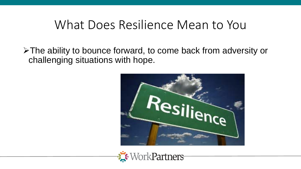## What Does Resilience Mean to You

The ability to bounce forward, to come back from adversity or challenging situations with hope.



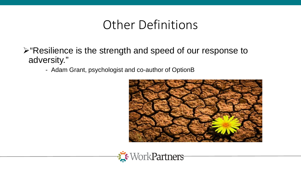## Other Definitions

- $\triangleright$  "Resilience is the strength and speed of our response to adversity."
	- Adam Grant, psychologist and co-author of OptionB



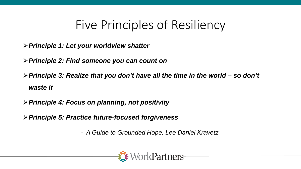## Five Principles of Resiliency

- *Principle 1: Let your worldview shatter*
- *Principle 2: Find someone you can count on*
- *Principle 3: Realize that you don't have all the time in the world – so don't waste it*
- *Principle 4: Focus on planning, not positivity*
- *Principle 5: Practice future-focused forgiveness*
	- *- A Guide to Grounded Hope, Lee Daniel Kravetz*

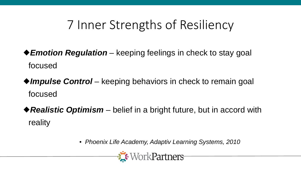## 7 Inner Strengths of Resiliency

- ◆ *Emotion Regulation* keeping feelings in check to stay goal focused
- ◆ *Impulse Control* keeping behaviors in check to remain goal focused
- ◆ Realistic Optimism belief in a bright future, but in accord with reality

• *Phoenix Life Academy, Adaptiv Learning Systems, 2010* 

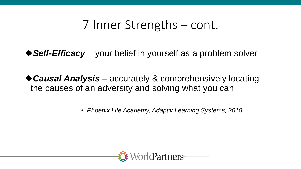## 7 Inner Strengths – cont.

◆ Self-Efficacy – your belief in yourself as a problem solver

*Causal Analysis* – accurately & comprehensively locating the causes of an adversity and solving what you can

• *Phoenix Life Academy, Adaptiv Learning Systems, 2010*

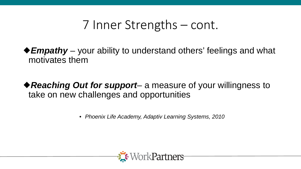## 7 Inner Strengths – cont.

◆ *Empathy* – your ability to understand others' feelings and what motivates them

◆ Reaching Out for support– a measure of your willingness to take on new challenges and opportunities

• *Phoenix Life Academy, Adaptiv Learning Systems, 2010* 

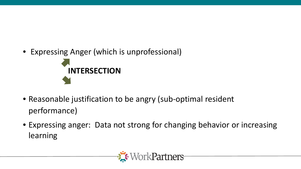• Expressing Anger (which is unprofessional)



- Reasonable justification to be angry (sub-optimal resident performance)
- Expressing anger: Data not strong for changing behavior or increasing learning

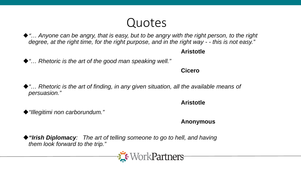## Quotes

◆ "... Anyone can be angry, that is easy, but to be angry with the right person, to the right *degree, at the right time, for the right purpose, and in the right way - - this is not easy."*

### **Aristotle**

◆ "... Rhetoric is the art of the good man speaking well."

**Cicero**

◆ "… Rhetoric is the art of finding, in any given situation, all the available means of *persuasion."*

### **Aristotle**

*"Illegitimi non carborundum."*

### **Anonymous**

*"Irish Diplomacy: The art of telling someone to go to hell, and having them look forward to the trip."*

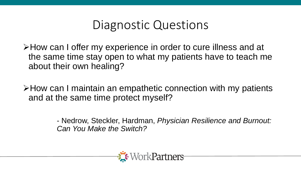## Diagnostic Questions

How can I offer my experience in order to cure illness and at the same time stay open to what my patients have to teach me about their own healing?

How can I maintain an empathetic connection with my patients and at the same time protect myself?

> - Nedrow, Steckler, Hardman, *Physician Resilience and Burnout: Can You Make the Switch?*

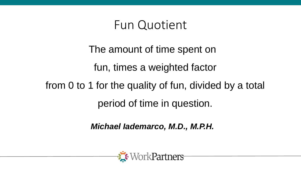## Fun Quotient

# The amount of time spent on fun, times a weighted factor from 0 to 1 for the quality of fun, divided by a total period of time in question.

*Michael Iademarco, M.D., M.P.H.*

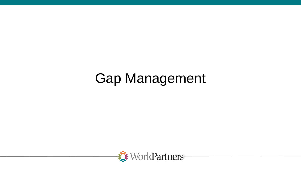## Gap Management

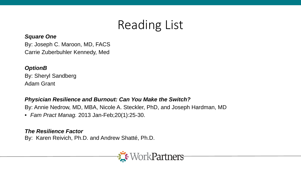## Reading List

#### *Square One*

By: Joseph C. Maroon, MD, FACS Carrie Zuberbuhler Kennedy, Med

#### *OptionB*

By: Sheryl Sandberg Adam Grant

#### *Physician Resilience and Burnout: Can You Make the Switch?*

By: Annie Nedrow, MD, MBA, Nicole A. Steckler, PhD, and Joseph Hardman, MD

• *Fam Pract Manag.* 2013 Jan-Feb;20(1):25-30.

#### *The Resilience Factor*

By: Karen Reivich, Ph.D. and Andrew Shatté, Ph.D.

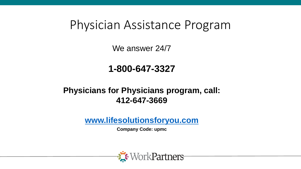## Physician Assistance Program

We answer 24/7

### **1-800-647-3327**

### **Physicians for Physicians program, call: 412-647-3669**

**[www.lifesolutionsforyou.com](http://www.lifesolutionsforyou.com/)**

**Company Code: upmc**

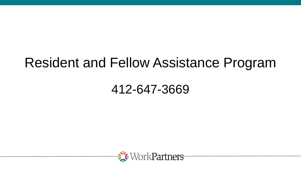## Resident and Fellow Assistance Program

## 412-647-3669

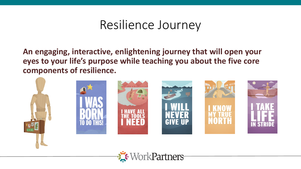## Resilience Journey

**An engaging, interactive, enlightening journey that will open your eyes to your life's purpose while teaching you about the five core components of resilience.**